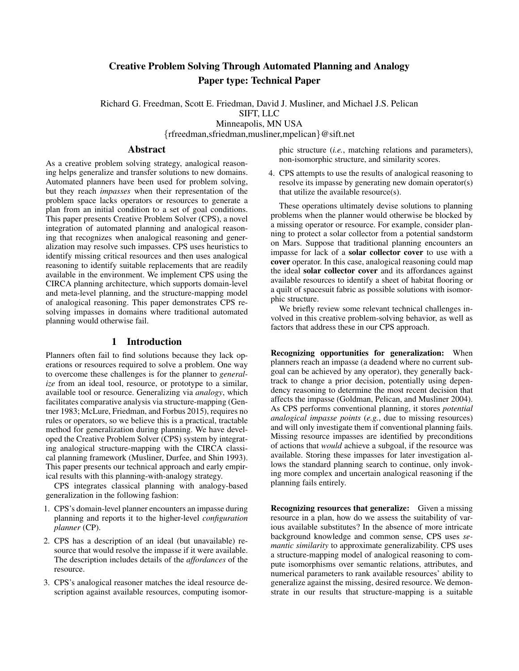# Creative Problem Solving Through Automated Planning and Analogy Paper type: Technical Paper

Richard G. Freedman, Scott E. Friedman, David J. Musliner, and Michael J.S. Pelican SIFT, LLC Minneapolis, MN USA {rfreedman,sfriedman,musliner,mpelican}@sift.net

### Abstract

As a creative problem solving strategy, analogical reasoning helps generalize and transfer solutions to new domains. Automated planners have been used for problem solving, but they reach *impasses* when their representation of the problem space lacks operators or resources to generate a plan from an initial condition to a set of goal conditions. This paper presents Creative Problem Solver (CPS), a novel integration of automated planning and analogical reasoning that recognizes when analogical reasoning and generalization may resolve such impasses. CPS uses heuristics to identify missing critical resources and then uses analogical reasoning to identify suitable replacements that are readily available in the environment. We implement CPS using the CIRCA planning architecture, which supports domain-level and meta-level planning, and the structure-mapping model of analogical reasoning. This paper demonstrates CPS resolving impasses in domains where traditional automated planning would otherwise fail.

#### 1 Introduction

Planners often fail to find solutions because they lack operations or resources required to solve a problem. One way to overcome these challenges is for the planner to *generalize* from an ideal tool, resource, or prototype to a similar, available tool or resource. Generalizing via *analogy*, which facilitates comparative analysis via structure-mapping (Gentner 1983; McLure, Friedman, and Forbus 2015), requires no rules or operators, so we believe this is a practical, tractable method for generalization during planning. We have developed the Creative Problem Solver (CPS) system by integrating analogical structure-mapping with the CIRCA classical planning framework (Musliner, Durfee, and Shin 1993). This paper presents our technical approach and early empirical results with this planning-with-analogy strategy.

CPS integrates classical planning with analogy-based generalization in the following fashion:

- 1. CPS's domain-level planner encounters an impasse during planning and reports it to the higher-level *configuration planner* (CP).
- 2. CPS has a description of an ideal (but unavailable) resource that would resolve the impasse if it were available. The description includes details of the *affordances* of the resource.
- 3. CPS's analogical reasoner matches the ideal resource description against available resources, computing isomor-

phic structure (*i.e.*, matching relations and parameters), non-isomorphic structure, and similarity scores.

4. CPS attempts to use the results of analogical reasoning to resolve its impasse by generating new domain operator(s) that utilize the available resource(s).

These operations ultimately devise solutions to planning problems when the planner would otherwise be blocked by a missing operator or resource. For example, consider planning to protect a solar collector from a potential sandstorm on Mars. Suppose that traditional planning encounters an impasse for lack of a solar collector cover to use with a cover operator. In this case, analogical reasoning could map the ideal solar collector cover and its affordances against available resources to identify a sheet of habitat flooring or a quilt of spacesuit fabric as possible solutions with isomorphic structure.

We briefly review some relevant technical challenges involved in this creative problem-solving behavior, as well as factors that address these in our CPS approach.

Recognizing opportunities for generalization: When planners reach an impasse (a deadend where no current subgoal can be achieved by any operator), they generally backtrack to change a prior decision, potentially using dependency reasoning to determine the most recent decision that affects the impasse (Goldman, Pelican, and Musliner 2004). As CPS performs conventional planning, it stores *potential analogical impasse points* (*e.g.*, due to missing resources) and will only investigate them if conventional planning fails. Missing resource impasses are identified by preconditions of actions that *would* achieve a subgoal, if the resource was available. Storing these impasses for later investigation allows the standard planning search to continue, only invoking more complex and uncertain analogical reasoning if the planning fails entirely.

Recognizing resources that generalize: Given a missing resource in a plan, how do we assess the suitability of various available substitutes? In the absence of more intricate background knowledge and common sense, CPS uses *semantic similarity* to approximate generalizability. CPS uses a structure-mapping model of analogical reasoning to compute isomorphisms over semantic relations, attributes, and numerical parameters to rank available resources' ability to generalize against the missing, desired resource. We demonstrate in our results that structure-mapping is a suitable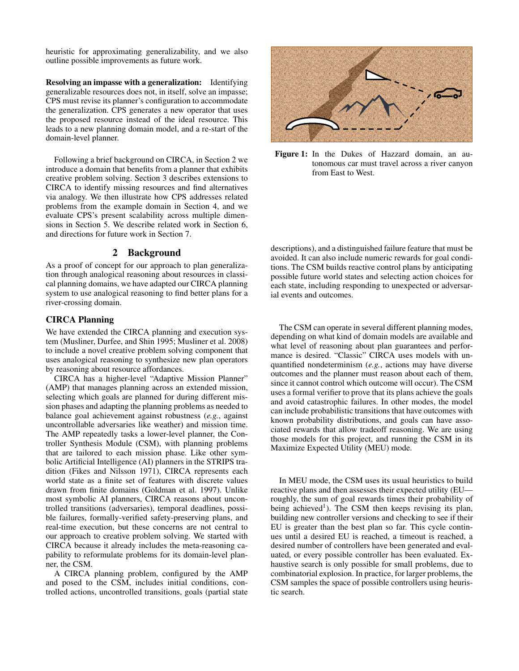heuristic for approximating generalizability, and we also outline possible improvements as future work.

Resolving an impasse with a generalization: Identifying generalizable resources does not, in itself, solve an impasse; CPS must revise its planner's configuration to accommodate the generalization. CPS generates a new operator that uses the proposed resource instead of the ideal resource. This leads to a new planning domain model, and a re-start of the domain-level planner.

Following a brief background on CIRCA, in Section 2 we introduce a domain that benefits from a planner that exhibits creative problem solving. Section 3 describes extensions to CIRCA to identify missing resources and find alternatives via analogy. We then illustrate how CPS addresses related problems from the example domain in Section 4, and we evaluate CPS's present scalability across multiple dimensions in Section 5. We describe related work in Section 6, and directions for future work in Section 7.

# 2 Background

As a proof of concept for our approach to plan generalization through analogical reasoning about resources in classical planning domains, we have adapted our CIRCA planning system to use analogical reasoning to find better plans for a river-crossing domain.

#### CIRCA Planning

We have extended the CIRCA planning and execution system (Musliner, Durfee, and Shin 1995; Musliner et al. 2008) to include a novel creative problem solving component that uses analogical reasoning to synthesize new plan operators by reasoning about resource affordances.

CIRCA has a higher-level "Adaptive Mission Planner" (AMP) that manages planning across an extended mission, selecting which goals are planned for during different mission phases and adapting the planning problems as needed to balance goal achievement against robustness (*e.g.*, against uncontrollable adversaries like weather) and mission time. The AMP repeatedly tasks a lower-level planner, the Controller Synthesis Module (CSM), with planning problems that are tailored to each mission phase. Like other symbolic Artificial Intelligence (AI) planners in the STRIPS tradition (Fikes and Nilsson 1971), CIRCA represents each world state as a finite set of features with discrete values drawn from finite domains (Goldman et al. 1997). Unlike most symbolic AI planners, CIRCA reasons about uncontrolled transitions (adversaries), temporal deadlines, possible failures, formally-verified safety-preserving plans, and real-time execution, but these concerns are not central to our approach to creative problem solving. We started with CIRCA because it already includes the meta-reasoning capability to reformulate problems for its domain-level planner, the CSM.

A CIRCA planning problem, configured by the AMP and posed to the CSM, includes initial conditions, controlled actions, uncontrolled transitions, goals (partial state



Figure 1: In the Dukes of Hazzard domain, an autonomous car must travel across a river canyon from East to West.

descriptions), and a distinguished failure feature that must be avoided. It can also include numeric rewards for goal conditions. The CSM builds reactive control plans by anticipating possible future world states and selecting action choices for each state, including responding to unexpected or adversarial events and outcomes.

The CSM can operate in several different planning modes, depending on what kind of domain models are available and what level of reasoning about plan guarantees and performance is desired. "Classic" CIRCA uses models with unquantified nondeterminism (*e.g.*, actions may have diverse outcomes and the planner must reason about each of them, since it cannot control which outcome will occur). The CSM uses a formal verifier to prove that its plans achieve the goals and avoid catastrophic failures. In other modes, the model can include probabilistic transitions that have outcomes with known probability distributions, and goals can have associated rewards that allow tradeoff reasoning. We are using those models for this project, and running the CSM in its Maximize Expected Utility (MEU) mode.

In MEU mode, the CSM uses its usual heuristics to build reactive plans and then assesses their expected utility (EU roughly, the sum of goal rewards times their probability of being achieved<sup>1</sup>). The CSM then keeps revising its plan, building new controller versions and checking to see if their EU is greater than the best plan so far. This cycle continues until a desired EU is reached, a timeout is reached, a desired number of controllers have been generated and evaluated, or every possible controller has been evaluated. Exhaustive search is only possible for small problems, due to combinatorial explosion. In practice, for larger problems, the CSM samples the space of possible controllers using heuristic search.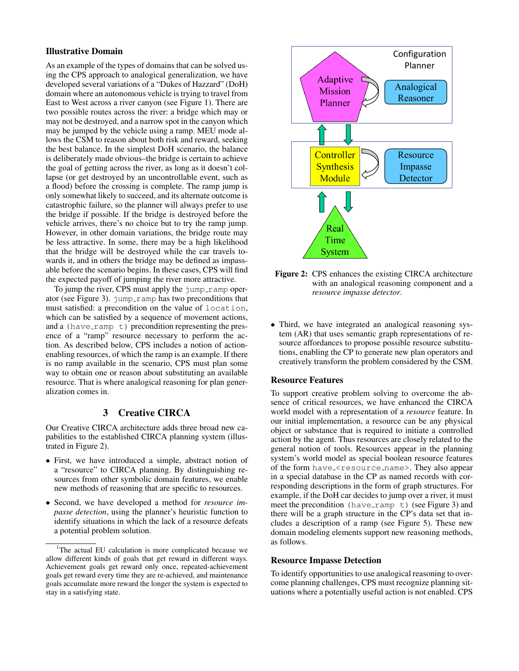# Illustrative Domain

As an example of the types of domains that can be solved using the CPS approach to analogical generalization, we have developed several variations of a "Dukes of Hazzard" (DoH) domain where an autonomous vehicle is trying to travel from East to West across a river canyon (see Figure 1). There are two possible routes across the river: a bridge which may or may not be destroyed, and a narrow spot in the canyon which may be jumped by the vehicle using a ramp. MEU mode allows the CSM to reason about both risk and reward, seeking the best balance. In the simplest DoH scenario, the balance is deliberately made obvious–the bridge is certain to achieve the goal of getting across the river, as long as it doesn't collapse (or get destroyed by an uncontrollable event, such as a flood) before the crossing is complete. The ramp jump is only somewhat likely to succeed, and its alternate outcome is catastrophic failure, so the planner will always prefer to use the bridge if possible. If the bridge is destroyed before the vehicle arrives, there's no choice but to try the ramp jump. However, in other domain variations, the bridge route may be less attractive. In some, there may be a high likelihood that the bridge will be destroyed while the car travels towards it, and in others the bridge may be defined as impassable before the scenario begins. In these cases, CPS will find the expected payoff of jumping the river more attractive.

To jump the river, CPS must apply the jump\_ramp operator (see Figure 3). jump\_ramp has two preconditions that must satisfied: a precondition on the value of location, which can be satisfied by a sequence of movement actions, and a (have ramp  $t$ ) precondition representing the presence of a "ramp" resource necessary to perform the action. As described below, CPS includes a notion of actionenabling resources, of which the ramp is an example. If there is no ramp available in the scenario, CPS must plan some way to obtain one or reason about substituting an available resource. That is where analogical reasoning for plan generalization comes in.

# 3 Creative CIRCA

Our Creative CIRCA architecture adds three broad new capabilities to the established CIRCA planning system (illustrated in Figure 2).

- First, we have introduced a simple, abstract notion of a "resource" to CIRCA planning. By distinguishing resources from other symbolic domain features, we enable new methods of reasoning that are specific to resources.
- Second, we have developed a method for *resource impasse detection*, using the planner's heuristic function to identify situations in which the lack of a resource defeats a potential problem solution.



Figure 2: CPS enhances the existing CIRCA architecture with an analogical reasoning component and a *resource impasse detector*.

• Third, we have integrated an analogical reasoning system (AR) that uses semantic graph representations of resource affordances to propose possible resource substitutions, enabling the CP to generate new plan operators and creatively transform the problem considered by the CSM.

### Resource Features

To support creative problem solving to overcome the absence of critical resources, we have enhanced the CIRCA world model with a representation of a *resource* feature. In our initial implementation, a resource can be any physical object or substance that is required to initiate a controlled action by the agent. Thus resources are closely related to the general notion of tools. Resources appear in the planning system's world model as special boolean resource features of the form have <resource name>. They also appear in a special database in the CP as named records with corresponding descriptions in the form of graph structures. For example, if the DoH car decides to jump over a river, it must meet the precondition (have\_ramp  $\overline{t}$ ) (see Figure 3) and there will be a graph structure in the CP's data set that includes a description of a ramp (see Figure 5). These new domain modeling elements support new reasoning methods, as follows.

#### Resource Impasse Detection

To identify opportunities to use analogical reasoning to overcome planning challenges, CPS must recognize planning situations where a potentially useful action is not enabled. CPS

<sup>&</sup>lt;sup>1</sup>The actual EU calculation is more complicated because we allow different kinds of goals that get reward in different ways. Achievement goals get reward only once, repeated-achievement goals get reward every time they are re-achieved, and maintenance goals accumulate more reward the longer the system is expected to stay in a satisfying state.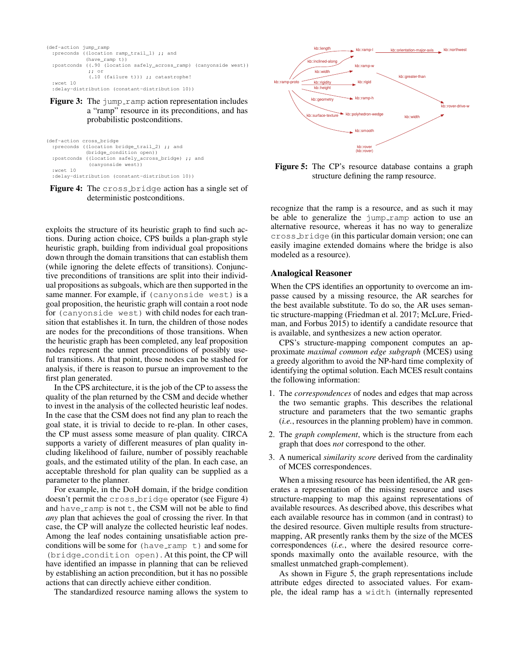```
(def-action jump_ramp
 :preconds ((location ramp_trail_1) ;; and
  (have_ramp t))
:postconds ((.90 (location safely_across_ramp) (canyonside west))
              ;; or
               (.10 (failure t))) ;; catastrophe!
 :wcet 10
 :delay-distribution (constant-distribution 10))
```
Figure 3: The jump\_ramp action representation includes a "ramp" resource in its preconditions, and has probabilistic postconditions.

|               | (def-action cross bridge                           |
|---------------|----------------------------------------------------|
|               | :preconds ((location bridge trail 2) ;; and        |
|               | (bridge condition open))                           |
|               | :postconds ((location safely across bridge) ;; and |
|               | (canyonside west))                                 |
| $:$ wcet $10$ |                                                    |
|               | :delay-distribution (constant-distribution 10))    |

Figure 4: The cross bridge action has a single set of deterministic postconditions.

exploits the structure of its heuristic graph to find such actions. During action choice, CPS builds a plan-graph style heuristic graph, building from individual goal propositions down through the domain transitions that can establish them (while ignoring the delete effects of transitions). Conjunctive preconditions of transitions are split into their individual propositions as subgoals, which are then supported in the same manner. For example, if (canyonside west) is a goal proposition, the heuristic graph will contain a root node for (canyonside west) with child nodes for each transition that establishes it. In turn, the children of those nodes are nodes for the preconditions of those transitions. When the heuristic graph has been completed, any leaf proposition nodes represent the unmet preconditions of possibly useful transitions. At that point, those nodes can be stashed for analysis, if there is reason to pursue an improvement to the first plan generated.

In the CPS architecture, it is the job of the CP to assess the quality of the plan returned by the CSM and decide whether to invest in the analysis of the collected heuristic leaf nodes. In the case that the CSM does not find any plan to reach the goal state, it is trivial to decide to re-plan. In other cases, the CP must assess some measure of plan quality. CIRCA supports a variety of different measures of plan quality including likelihood of failure, number of possibly reachable goals, and the estimated utility of the plan. In each case, an acceptable threshold for plan quality can be supplied as a parameter to the planner.

For example, in the DoH domain, if the bridge condition doesn't permit the cross bridge operator (see Figure 4) and have ramp is not  $t$ , the CSM will not be able to find *any* plan that achieves the goal of crossing the river. In that case, the CP will analyze the collected heuristic leaf nodes. Among the leaf nodes containing unsatisfiable action preconditions will be some for  $(have\_ramp \t t)$  and some for (bridge condition open). At this point, the CP will have identified an impasse in planning that can be relieved by establishing an action precondition, but it has no possible actions that can directly achieve either condition.

The standardized resource naming allows the system to



Figure 5: The CP's resource database contains a graph structure defining the ramp resource.

recognize that the ramp is a resource, and as such it may be able to generalize the  $\frac{1}{2}$ ump ramp action to use an alternative resource, whereas it has no way to generalize cross bridge (in this particular domain version; one can easily imagine extended domains where the bridge is also modeled as a resource).

# Analogical Reasoner

When the CPS identifies an opportunity to overcome an impasse caused by a missing resource, the AR searches for the best available substitute. To do so, the AR uses semantic structure-mapping (Friedman et al. 2017; McLure, Friedman, and Forbus 2015) to identify a candidate resource that is available, and synthesizes a new action operator.

CPS's structure-mapping component computes an approximate *maximal common edge subgraph* (MCES) using a greedy algorithm to avoid the NP-hard time complexity of identifying the optimal solution. Each MCES result contains the following information:

- 1. The *correspondences* of nodes and edges that map across the two semantic graphs. This describes the relational structure and parameters that the two semantic graphs (*i.e.*, resources in the planning problem) have in common.
- 2. The *graph complement*, which is the structure from each graph that does *not* correspond to the other.
- 3. A numerical *similarity score* derived from the cardinality of MCES correspondences.

When a missing resource has been identified, the AR generates a representation of the missing resource and uses structure-mapping to map this against representations of available resources. As described above, this describes what each available resource has in common (and in contrast) to the desired resource. Given multiple results from structuremapping, AR presently ranks them by the size of the MCES correspondences (*i.e.*, where the desired resource corresponds maximally onto the available resource, with the smallest unmatched graph-complement).

As shown in Figure 5, the graph representations include attribute edges directed to associated values. For example, the ideal ramp has a width (internally represented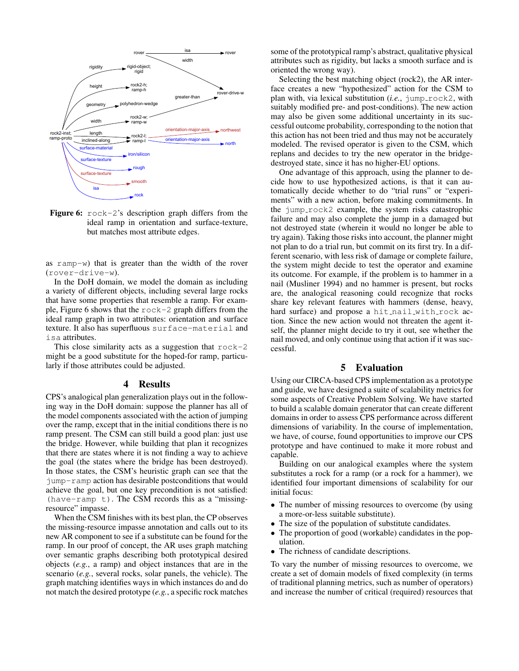

Figure 6:  $\text{rock-2's description graph differs from the}$ ideal ramp in orientation and surface-texture, but matches most attribute edges.

as ramp-w) that is greater than the width of the rover (rover-drive-w).

In the DoH domain, we model the domain as including a variety of different objects, including several large rocks that have some properties that resemble a ramp. For example, Figure 6 shows that the rock-2 graph differs from the ideal ramp graph in two attributes: orientation and surface texture. It also has superfluous surface-material and isa attributes.

This close similarity acts as a suggestion that  $\text{rock-2}$ might be a good substitute for the hoped-for ramp, particularly if those attributes could be adjusted.

#### 4 Results

CPS's analogical plan generalization plays out in the following way in the DoH domain: suppose the planner has all of the model components associated with the action of jumping over the ramp, except that in the initial conditions there is no ramp present. The CSM can still build a good plan: just use the bridge. However, while building that plan it recognizes that there are states where it is not finding a way to achieve the goal (the states where the bridge has been destroyed). In those states, the CSM's heuristic graph can see that the jump-ramp action has desirable postconditions that would achieve the goal, but one key precondition is not satisfied: (have-ramp t). The CSM records this as a "missingresource" impasse.

When the CSM finishes with its best plan, the CP observes the missing-resource impasse annotation and calls out to its new AR component to see if a substitute can be found for the ramp. In our proof of concept, the AR uses graph matching over semantic graphs describing both prototypical desired objects (*e.g.*, a ramp) and object instances that are in the scenario (*e.g.*, several rocks, solar panels, the vehicle). The graph matching identifies ways in which instances do and do not match the desired prototype (*e.g.*, a specific rock matches

some of the prototypical ramp's abstract, qualitative physical attributes such as rigidity, but lacks a smooth surface and is oriented the wrong way).

Selecting the best matching object (rock2), the AR interface creates a new "hypothesized" action for the CSM to plan with, via lexical substitution (*i.e.*, jump\_rock2, with suitably modified pre- and post-conditions). The new action may also be given some additional uncertainty in its successful outcome probability, corresponding to the notion that this action has not been tried and thus may not be accurately modeled. The revised operator is given to the CSM, which replans and decides to try the new operator in the bridgedestroyed state, since it has no higher-EU options.

One advantage of this approach, using the planner to decide how to use hypothesized actions, is that it can automatically decide whether to do "trial runs" or "experiments" with a new action, before making commitments. In the jump rock2 example, the system risks catastrophic failure and may also complete the jump in a damaged but not destroyed state (wherein it would no longer be able to try again). Taking those risks into account, the planner might not plan to do a trial run, but commit on its first try. In a different scenario, with less risk of damage or complete failure, the system might decide to test the operator and examine its outcome. For example, if the problem is to hammer in a nail (Musliner 1994) and no hammer is present, but rocks are, the analogical reasoning could recognize that rocks share key relevant features with hammers (dense, heavy, hard surface) and propose a hit\_nail\_with\_rock action. Since the new action would not threaten the agent itself, the planner might decide to try it out, see whether the nail moved, and only continue using that action if it was successful.

# 5 Evaluation

Using our CIRCA-based CPS implementation as a prototype and guide, we have designed a suite of scalability metrics for some aspects of Creative Problem Solving. We have started to build a scalable domain generator that can create different domains in order to assess CPS performance across different dimensions of variability. In the course of implementation, we have, of course, found opportunities to improve our CPS prototype and have continued to make it more robust and capable.

Building on our analogical examples where the system substitutes a rock for a ramp (or a rock for a hammer), we identified four important dimensions of scalability for our initial focus:

- The number of missing resources to overcome (by using a more-or-less suitable substitute).
- The size of the population of substitute candidates.
- The proportion of good (workable) candidates in the population.
- The richness of candidate descriptions.

To vary the number of missing resources to overcome, we create a set of domain models of fixed complexity (in terms of traditional planning metrics, such as number of operators) and increase the number of critical (required) resources that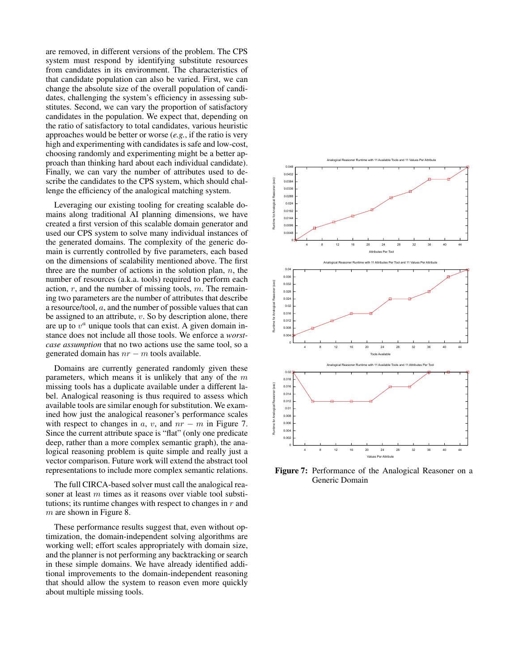are removed, in different versions of the problem. The CPS system must respond by identifying substitute resources from candidates in its environment. The characteristics of that candidate population can also be varied. First, we can change the absolute size of the overall population of candidates, challenging the system's efficiency in assessing substitutes. Second, we can vary the proportion of satisfactory candidates in the population. We expect that, depending on the ratio of satisfactory to total candidates, various heuristic approaches would be better or worse (*e.g.*, if the ratio is very high and experimenting with candidates is safe and low-cost, choosing randomly and experimenting might be a better approach than thinking hard about each individual candidate). Finally, we can vary the number of attributes used to describe the candidates to the CPS system, which should challenge the efficiency of the analogical matching system.

Leveraging our existing tooling for creating scalable domains along traditional AI planning dimensions, we have created a first version of this scalable domain generator and used our CPS system to solve many individual instances of the generated domains. The complexity of the generic domain is currently controlled by five parameters, each based on the dimensions of scalability mentioned above. The first three are the number of actions in the solution plan,  $n$ , the number of resources (a.k.a. tools) required to perform each action,  $r$ , and the number of missing tools,  $m$ . The remaining two parameters are the number of attributes that describe a resource/tool, a, and the number of possible values that can be assigned to an attribute,  $v$ . So by description alone, there are up to  $v^a$  unique tools that can exist. A given domain instance does not include all those tools. We enforce a *worstcase assumption* that no two actions use the same tool, so a generated domain has  $nr - m$  tools available.

Domains are currently generated randomly given these parameters, which means it is unlikely that any of the  $m$ missing tools has a duplicate available under a different label. Analogical reasoning is thus required to assess which available tools are similar enough for substitution. We examined how just the analogical reasoner's performance scales with respect to changes in a, v, and  $nr - m$  in Figure 7. Since the current attribute space is "flat" (only one predicate deep, rather than a more complex semantic graph), the analogical reasoning problem is quite simple and really just a vector comparison. Future work will extend the abstract tool representations to include more complex semantic relations.

The full CIRCA-based solver must call the analogical reasoner at least  $m$  times as it reasons over viable tool substitutions; its runtime changes with respect to changes in  $r$  and  $m$  are shown in Figure 8.

These performance results suggest that, even without optimization, the domain-independent solving algorithms are working well; effort scales appropriately with domain size, and the planner is not performing any backtracking or search in these simple domains. We have already identified additional improvements to the domain-independent reasoning that should allow the system to reason even more quickly about multiple missing tools.



Figure 7: Performance of the Analogical Reasoner on a Generic Domain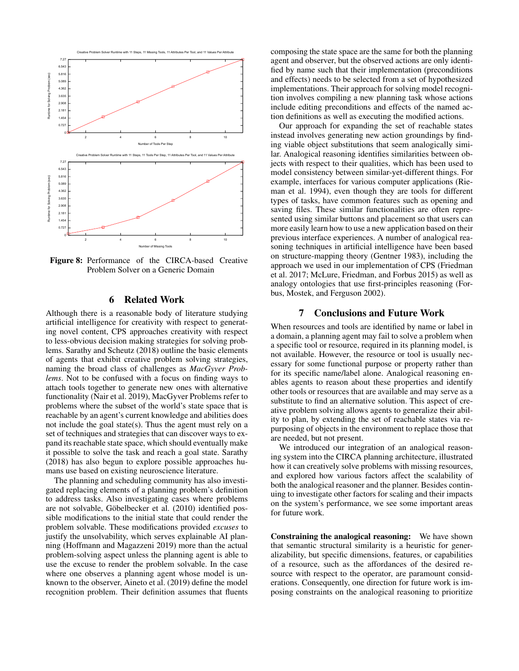

Figure 8: Performance of the CIRCA-based Creative Problem Solver on a Generic Domain

### 6 Related Work

Although there is a reasonable body of literature studying artificial intelligence for creativity with respect to generating novel content, CPS approaches creativity with respect to less-obvious decision making strategies for solving problems. Sarathy and Scheutz (2018) outline the basic elements of agents that exhibit creative problem solving strategies, naming the broad class of challenges as *MacGyver Problems*. Not to be confused with a focus on finding ways to attach tools together to generate new ones with alternative functionality (Nair et al. 2019), MacGyver Problems refer to problems where the subset of the world's state space that is reachable by an agent's current knowledge and abilities does not include the goal state(s). Thus the agent must rely on a set of techniques and strategies that can discover ways to expand its reachable state space, which should eventually make it possible to solve the task and reach a goal state. Sarathy (2018) has also begun to explore possible approaches humans use based on existing neuroscience literature.

The planning and scheduling community has also investigated replacing elements of a planning problem's definition to address tasks. Also investigating cases where problems are not solvable, Göbelbecker et al. (2010) identified possible modifications to the initial state that could render the problem solvable. These modifications provided *excuses* to justify the unsolvability, which serves explainable AI planning (Hoffmann and Magazzeni 2019) more than the actual problem-solving aspect unless the planning agent is able to use the excuse to render the problem solvable. In the case where one observes a planning agent whose model is unknown to the observer, Aineto et al. (2019) define the model recognition problem. Their definition assumes that fluents composing the state space are the same for both the planning agent and observer, but the observed actions are only identified by name such that their implementation (preconditions and effects) needs to be selected from a set of hypothesized implementations. Their approach for solving model recognition involves compiling a new planning task whose actions include editing preconditions and effects of the named action definitions as well as executing the modified actions.

Our approach for expanding the set of reachable states instead involves generating new action groundings by finding viable object substitutions that seem analogically similar. Analogical reasoning identifies similarities between objects with respect to their qualities, which has been used to model consistency between similar-yet-different things. For example, interfaces for various computer applications (Rieman et al. 1994), even though they are tools for different types of tasks, have common features such as opening and saving files. These similar functionalities are often represented using similar buttons and placement so that users can more easily learn how to use a new application based on their previous interface experiences. A number of analogical reasoning techniques in artificial intelligence have been based on structure-mapping theory (Gentner 1983), including the approach we used in our implementation of CPS (Friedman et al. 2017; McLure, Friedman, and Forbus 2015) as well as analogy ontologies that use first-principles reasoning (Forbus, Mostek, and Ferguson 2002).

# 7 Conclusions and Future Work

When resources and tools are identified by name or label in a domain, a planning agent may fail to solve a problem when a specific tool or resource, required in its planning model, is not available. However, the resource or tool is usually necessary for some functional purpose or property rather than for its specific name/label alone. Analogical reasoning enables agents to reason about these properties and identify other tools or resources that are available and may serve as a substitute to find an alternative solution. This aspect of creative problem solving allows agents to generalize their ability to plan, by extending the set of reachable states via repurposing of objects in the environment to replace those that are needed, but not present.

We introduced our integration of an analogical reasoning system into the CIRCA planning architecture, illustrated how it can creatively solve problems with missing resources, and explored how various factors affect the scalability of both the analogical reasoner and the planner. Besides continuing to investigate other factors for scaling and their impacts on the system's performance, we see some important areas for future work.

Constraining the analogical reasoning: We have shown that semantic structural similarity is a heuristic for generalizability, but specific dimensions, features, or capabilities of a resource, such as the affordances of the desired resource with respect to the operator, are paramount considerations. Consequently, one direction for future work is imposing constraints on the analogical reasoning to prioritize